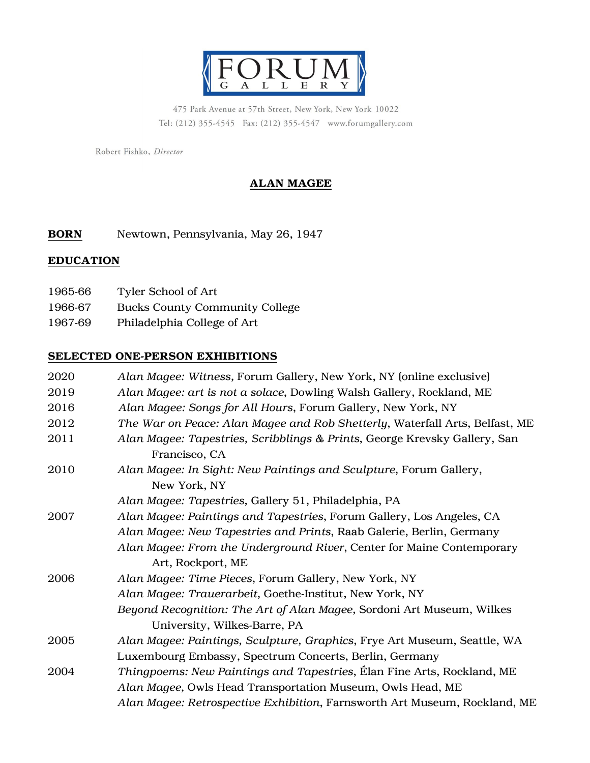

475 Park Avenue at 57th Street, New York, New York 10022 Tel: (212) 355-4545 Fax: (212) 355-4547 www.forumgallery.com

Robert Fishko, Director

## ALAN MAGEE

## BORN Newtown, Pennsylvania, May 26, 1947

## EDUCATION

- 1965-66 Tyler School of Art
- 1966-67 Bucks County Community College
- 1967-69 Philadelphia College of Art

### SELECTED ONE-PERSON EXHIBITIONS

| 2020 | Alan Magee: Witness, Forum Gallery, New York, NY (online exclusive)                        |
|------|--------------------------------------------------------------------------------------------|
| 2019 | Alan Magee: art is not a solace, Dowling Walsh Gallery, Rockland, ME                       |
| 2016 | Alan Magee: Songs for All Hours, Forum Gallery, New York, NY                               |
| 2012 | The War on Peace: Alan Magee and Rob Shetterly, Waterfall Arts, Belfast, ME                |
| 2011 | Alan Magee: Tapestries, Scribblings & Prints, George Krevsky Gallery, San<br>Francisco, CA |
| 2010 | Alan Magee: In Sight: New Paintings and Sculpture, Forum Gallery,<br>New York, NY          |
|      | Alan Magee: Tapestries, Gallery 51, Philadelphia, PA                                       |
| 2007 | Alan Magee: Paintings and Tapestries, Forum Gallery, Los Angeles, CA                       |
|      | Alan Magee: New Tapestries and Prints, Raab Galerie, Berlin, Germany                       |
|      | Alan Magee: From the Underground River, Center for Maine Contemporary                      |
|      | Art, Rockport, ME                                                                          |
| 2006 | Alan Magee: Time Pieces, Forum Gallery, New York, NY                                       |
|      | Alan Magee: Trauerarbeit, Goethe-Institut, New York, NY                                    |
|      | Beyond Recognition: The Art of Alan Magee, Sordoni Art Museum, Wilkes                      |
|      | University, Wilkes-Barre, PA                                                               |
| 2005 | Alan Magee: Paintings, Sculpture, Graphics, Frye Art Museum, Seattle, WA                   |
|      | Luxembourg Embassy, Spectrum Concerts, Berlin, Germany                                     |
| 2004 | Thingpoems: New Paintings and Tapestries, Elan Fine Arts, Rockland, ME                     |
|      | Alan Magee, Owls Head Transportation Museum, Owls Head, ME                                 |
|      | Alan Magee: Retrospective Exhibition, Farnsworth Art Museum, Rockland, ME                  |
|      |                                                                                            |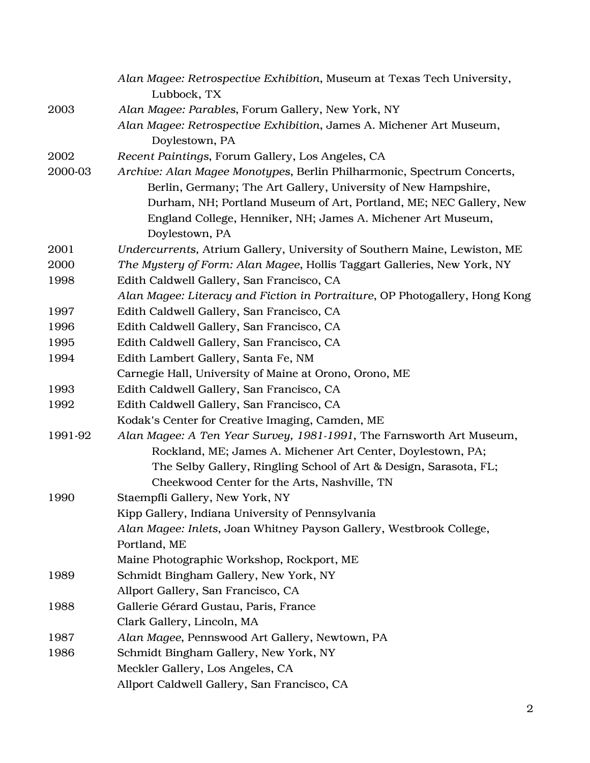|         | Alan Magee: Retrospective Exhibition, Museum at Texas Tech University,<br>Lubbock, TX                                                                                                                                                                                                            |
|---------|--------------------------------------------------------------------------------------------------------------------------------------------------------------------------------------------------------------------------------------------------------------------------------------------------|
| 2003    | Alan Magee: Parables, Forum Gallery, New York, NY                                                                                                                                                                                                                                                |
|         | Alan Magee: Retrospective Exhibition, James A. Michener Art Museum,<br>Doylestown, PA                                                                                                                                                                                                            |
| 2002    | Recent Paintings, Forum Gallery, Los Angeles, CA                                                                                                                                                                                                                                                 |
| 2000-03 | Archive: Alan Magee Monotypes, Berlin Philharmonic, Spectrum Concerts,<br>Berlin, Germany; The Art Gallery, University of New Hampshire,<br>Durham, NH; Portland Museum of Art, Portland, ME; NEC Gallery, New<br>England College, Henniker, NH; James A. Michener Art Museum,<br>Doylestown, PA |
| 2001    | Undercurrents, Atrium Gallery, University of Southern Maine, Lewiston, ME                                                                                                                                                                                                                        |
| 2000    | The Mystery of Form: Alan Magee, Hollis Taggart Galleries, New York, NY                                                                                                                                                                                                                          |
| 1998    | Edith Caldwell Gallery, San Francisco, CA                                                                                                                                                                                                                                                        |
|         | Alan Magee: Literacy and Fiction in Portraiture, OP Photogallery, Hong Kong                                                                                                                                                                                                                      |
| 1997    | Edith Caldwell Gallery, San Francisco, CA                                                                                                                                                                                                                                                        |
| 1996    | Edith Caldwell Gallery, San Francisco, CA                                                                                                                                                                                                                                                        |
| 1995    | Edith Caldwell Gallery, San Francisco, CA                                                                                                                                                                                                                                                        |
| 1994    | Edith Lambert Gallery, Santa Fe, NM                                                                                                                                                                                                                                                              |
|         | Carnegie Hall, University of Maine at Orono, Orono, ME                                                                                                                                                                                                                                           |
| 1993    | Edith Caldwell Gallery, San Francisco, CA                                                                                                                                                                                                                                                        |
| 1992    | Edith Caldwell Gallery, San Francisco, CA                                                                                                                                                                                                                                                        |
|         | Kodak's Center for Creative Imaging, Camden, ME                                                                                                                                                                                                                                                  |
| 1991-92 | Alan Magee: A Ten Year Survey, 1981-1991, The Farnsworth Art Museum,<br>Rockland, ME; James A. Michener Art Center, Doylestown, PA;<br>The Selby Gallery, Ringling School of Art & Design, Sarasota, FL;<br>Cheekwood Center for the Arts, Nashville, TN                                         |
| 1990    | Staempfli Gallery, New York, NY                                                                                                                                                                                                                                                                  |
|         | Kipp Gallery, Indiana University of Pennsylvania                                                                                                                                                                                                                                                 |
|         | Alan Magee: Inlets, Joan Whitney Payson Gallery, Westbrook College,                                                                                                                                                                                                                              |
|         | Portland, ME                                                                                                                                                                                                                                                                                     |
|         | Maine Photographic Workshop, Rockport, ME                                                                                                                                                                                                                                                        |
| 1989    | Schmidt Bingham Gallery, New York, NY<br>Allport Gallery, San Francisco, CA                                                                                                                                                                                                                      |
| 1988    | Gallerie Gérard Gustau, Paris, France                                                                                                                                                                                                                                                            |
|         | Clark Gallery, Lincoln, MA                                                                                                                                                                                                                                                                       |
| 1987    | Alan Magee, Pennswood Art Gallery, Newtown, PA                                                                                                                                                                                                                                                   |
| 1986    | Schmidt Bingham Gallery, New York, NY                                                                                                                                                                                                                                                            |
|         | Meckler Gallery, Los Angeles, CA                                                                                                                                                                                                                                                                 |
|         | Allport Caldwell Gallery, San Francisco, CA                                                                                                                                                                                                                                                      |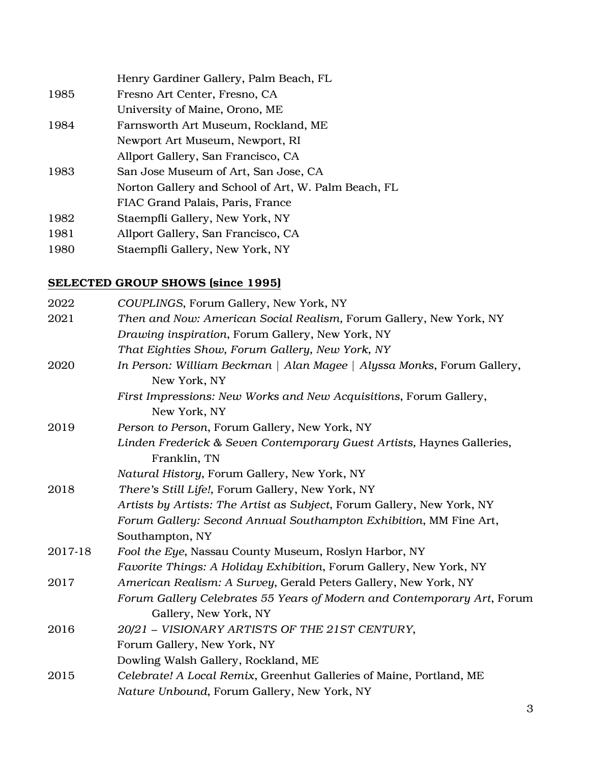|      | Henry Gardiner Gallery, Palm Beach, FL              |
|------|-----------------------------------------------------|
| 1985 | Fresno Art Center, Fresno, CA                       |
|      | University of Maine, Orono, ME                      |
| 1984 | Farnsworth Art Museum, Rockland, ME                 |
|      | Newport Art Museum, Newport, RI                     |
|      | Allport Gallery, San Francisco, CA                  |
| 1983 | San Jose Museum of Art, San Jose, CA                |
|      | Norton Gallery and School of Art, W. Palm Beach, FL |
|      | FIAC Grand Palais, Paris, France                    |
| 1982 | Staempfli Gallery, New York, NY                     |
| 1981 | Allport Gallery, San Francisco, CA                  |
| 1980 | Staempfli Gallery, New York, NY                     |

# SELECTED GROUP SHOWS (since 1995)

| 2022    | COUPLINGS, Forum Gallery, New York, NY                                                           |
|---------|--------------------------------------------------------------------------------------------------|
| 2021    | Then and Now: American Social Realism, Forum Gallery, New York, NY                               |
|         | Drawing inspiration, Forum Gallery, New York, NY                                                 |
|         | That Eighties Show, Forum Gallery, New York, NY                                                  |
| 2020    | In Person: William Beckman   Alan Magee   Alyssa Monks, Forum Gallery,<br>New York, NY           |
|         | First Impressions: New Works and New Acquisitions, Forum Gallery,<br>New York, NY                |
| 2019    | Person to Person, Forum Gallery, New York, NY                                                    |
|         | Linden Frederick & Seven Contemporary Guest Artists, Haynes Galleries,<br>Franklin, TN           |
|         | Natural History, Forum Gallery, New York, NY                                                     |
| 2018    | There's Still Life!, Forum Gallery, New York, NY                                                 |
|         | Artists by Artists: The Artist as Subject, Forum Gallery, New York, NY                           |
|         | Forum Gallery: Second Annual Southampton Exhibition, MM Fine Art,                                |
|         | Southampton, NY                                                                                  |
| 2017-18 | Fool the Eye, Nassau County Museum, Roslyn Harbor, NY                                            |
|         | <i>Favorite Things: A Holiday Exhibition, Forum Gallery, New York, NY</i>                        |
| 2017    | American Realism: A Survey, Gerald Peters Gallery, New York, NY                                  |
|         | Forum Gallery Celebrates 55 Years of Modern and Contemporary Art, Forum<br>Gallery, New York, NY |
| 2016    | 20/21 - VISIONARY ARTISTS OF THE 21ST CENTURY,                                                   |
|         | Forum Gallery, New York, NY                                                                      |
|         | Dowling Walsh Gallery, Rockland, ME                                                              |
| 2015    | Celebrate! A Local Remix, Greenhut Galleries of Maine, Portland, ME                              |
|         | Nature Unbound, Forum Gallery, New York, NY                                                      |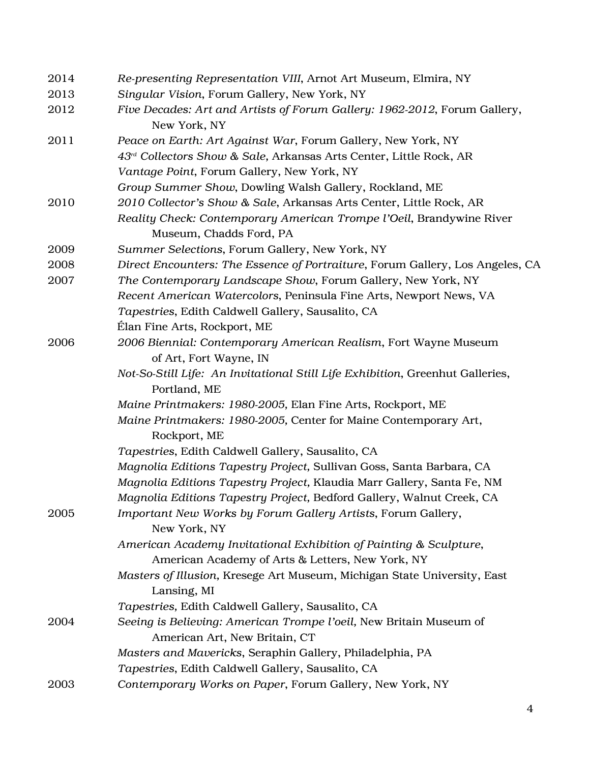| 2014 | Re-presenting Representation VIII, Arnot Art Museum, Elmira, NY                               |
|------|-----------------------------------------------------------------------------------------------|
| 2013 | Singular Vision, Forum Gallery, New York, NY                                                  |
| 2012 | Five Decades: Art and Artists of Forum Gallery: 1962-2012, Forum Gallery,                     |
|      | New York, NY                                                                                  |
| 2011 | Peace on Earth: Art Against War, Forum Gallery, New York, NY                                  |
|      | 43 <sup>rd</sup> Collectors Show & Sale, Arkansas Arts Center, Little Rock, AR                |
|      | Vantage Point, Forum Gallery, New York, NY                                                    |
|      | Group Summer Show, Dowling Walsh Gallery, Rockland, ME                                        |
| 2010 | 2010 Collector's Show & Sale, Arkansas Arts Center, Little Rock, AR                           |
|      | Reality Check: Contemporary American Trompe l'Oeil, Brandywine River                          |
|      | Museum, Chadds Ford, PA                                                                       |
| 2009 | Summer Selections, Forum Gallery, New York, NY                                                |
| 2008 | Direct Encounters: The Essence of Portraiture, Forum Gallery, Los Angeles, CA                 |
| 2007 | The Contemporary Landscape Show, Forum Gallery, New York, NY                                  |
|      | Recent American Watercolors, Peninsula Fine Arts, Newport News, VA                            |
|      | Tapestries, Edith Caldwell Gallery, Sausalito, CA                                             |
|      | Elan Fine Arts, Rockport, ME                                                                  |
| 2006 | 2006 Biennial: Contemporary American Realism, Fort Wayne Museum                               |
|      | of Art, Fort Wayne, IN                                                                        |
|      | Not-So-Still Life: An Invitational Still Life Exhibition, Greenhut Galleries,<br>Portland, ME |
|      | Maine Printmakers: 1980-2005, Elan Fine Arts, Rockport, ME                                    |
|      | Maine Printmakers: 1980-2005, Center for Maine Contemporary Art,                              |
|      | Rockport, ME                                                                                  |
|      | Tapestries, Edith Caldwell Gallery, Sausalito, CA                                             |
|      | Magnolia Editions Tapestry Project, Sullivan Goss, Santa Barbara, CA                          |
|      | Magnolia Editions Tapestry Project, Klaudia Marr Gallery, Santa Fe, NM                        |
|      | Magnolia Editions Tapestry Project, Bedford Gallery, Walnut Creek, CA                         |
| 2005 | Important New Works by Forum Gallery Artists, Forum Gallery,                                  |
|      | New York, NY                                                                                  |
|      | American Academy Invitational Exhibition of Painting & Sculpture,                             |
|      | American Academy of Arts & Letters, New York, NY                                              |
|      | Masters of Illusion, Kresege Art Museum, Michigan State University, East                      |
|      | Lansing, MI                                                                                   |
|      | Tapestries, Edith Caldwell Gallery, Sausalito, CA                                             |
| 2004 | Seeing is Believing: American Trompe l'oeil, New Britain Museum of                            |
|      | American Art, New Britain, CT                                                                 |
|      | Masters and Mavericks, Seraphin Gallery, Philadelphia, PA                                     |
|      | Tapestries, Edith Caldwell Gallery, Sausalito, CA                                             |
| 2003 | Contemporary Works on Paper, Forum Gallery, New York, NY                                      |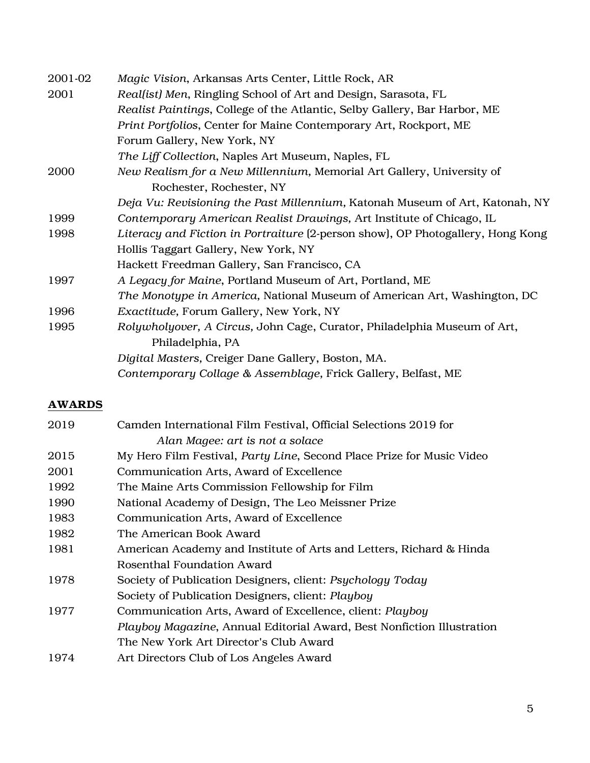| 2001-02 | Magic Vision, Arkansas Arts Center, Little Rock, AR                             |
|---------|---------------------------------------------------------------------------------|
| 2001    | Real(ist) Men, Ringling School of Art and Design, Sarasota, FL                  |
|         | Realist Paintings, College of the Atlantic, Selby Gallery, Bar Harbor, ME       |
|         | <b>Print Portfolios, Center for Maine Contemporary Art, Rockport, ME</b>        |
|         | Forum Gallery, New York, NY                                                     |
|         | The Liff Collection, Naples Art Museum, Naples, FL                              |
| 2000    | New Realism for a New Millennium, Memorial Art Gallery, University of           |
|         | Rochester, Rochester, NY                                                        |
|         | Deja Vu: Revisioning the Past Millennium, Katonah Museum of Art, Katonah, NY    |
| 1999    | Contemporary American Realist Drawings, Art Institute of Chicago, IL            |
| 1998    | Literacy and Fiction in Portraiture (2-person show), OP Photogallery, Hong Kong |
|         | Hollis Taggart Gallery, New York, NY                                            |
|         | Hackett Freedman Gallery, San Francisco, CA                                     |
| 1997    | A Legacy for Maine, Portland Museum of Art, Portland, ME                        |
|         | The Monotype in America, National Museum of American Art, Washington, DC        |
| 1996    | Exactitude, Forum Gallery, New York, NY                                         |
| 1995    | Rolywholyover, A Circus, John Cage, Curator, Philadelphia Museum of Art,        |
|         | Philadelphia, PA                                                                |
|         | Digital Masters, Creiger Dane Gallery, Boston, MA.                              |
|         | Contemporary Collage & Assemblage, Frick Gallery, Belfast, ME                   |
|         |                                                                                 |

# AWARDS

| 2019 | Camden International Film Festival, Official Selections 2019 for              |
|------|-------------------------------------------------------------------------------|
|      | Alan Magee: art is not a solace                                               |
| 2015 | My Hero Film Festival, <i>Party Line</i> , Second Place Prize for Music Video |
| 2001 | Communication Arts, Award of Excellence                                       |
| 1992 | The Maine Arts Commission Fellowship for Film                                 |
| 1990 | National Academy of Design, The Leo Meissner Prize                            |
| 1983 | Communication Arts, Award of Excellence                                       |
| 1982 | The American Book Award                                                       |
| 1981 | American Academy and Institute of Arts and Letters, Richard & Hinda           |
|      | <b>Rosenthal Foundation Award</b>                                             |
| 1978 | Society of Publication Designers, client: Psychology Today                    |
|      | Society of Publication Designers, client: Playboy                             |
| 1977 | Communication Arts, Award of Excellence, client: Playboy                      |
|      | <i>Playboy Magazine, Annual Editorial Award, Best Nonfiction Illustration</i> |
|      | The New York Art Director's Club Award                                        |
| 1974 | Art Directors Club of Los Angeles Award                                       |
|      |                                                                               |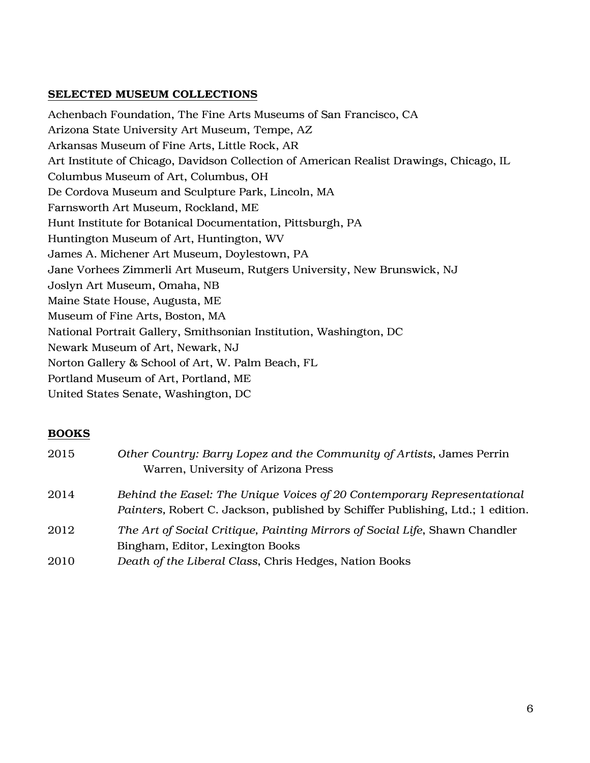#### SELECTED MUSEUM COLLECTIONS

Achenbach Foundation, The Fine Arts Museums of San Francisco, CA Arizona State University Art Museum, Tempe, AZ Arkansas Museum of Fine Arts, Little Rock, AR Art Institute of Chicago, Davidson Collection of American Realist Drawings, Chicago, IL Columbus Museum of Art, Columbus, OH De Cordova Museum and Sculpture Park, Lincoln, MA Farnsworth Art Museum, Rockland, ME Hunt Institute for Botanical Documentation, Pittsburgh, PA Huntington Museum of Art, Huntington, WV James A. Michener Art Museum, Doylestown, PA Jane Vorhees Zimmerli Art Museum, Rutgers University, New Brunswick, NJ Joslyn Art Museum, Omaha, NB Maine State House, Augusta, ME Museum of Fine Arts, Boston, MA National Portrait Gallery, Smithsonian Institution, Washington, DC Newark Museum of Art, Newark, NJ Norton Gallery & School of Art, W. Palm Beach, FL Portland Museum of Art, Portland, ME United States Senate, Washington, DC

#### BOOKS

| 2015 | Other Country: Barry Lopez and the Community of Artists, James Perrin<br>Warren, University of Arizona Press                                               |
|------|------------------------------------------------------------------------------------------------------------------------------------------------------------|
| 2014 | Behind the Easel: The Unique Voices of 20 Contemporary Representational<br>Painters, Robert C. Jackson, published by Schiffer Publishing, Ltd.; 1 edition. |
| 2012 | The Art of Social Critique, Painting Mirrors of Social Life, Shawn Chandler<br>Bingham, Editor, Lexington Books                                            |
| 2010 | Death of the Liberal Class, Chris Hedges, Nation Books                                                                                                     |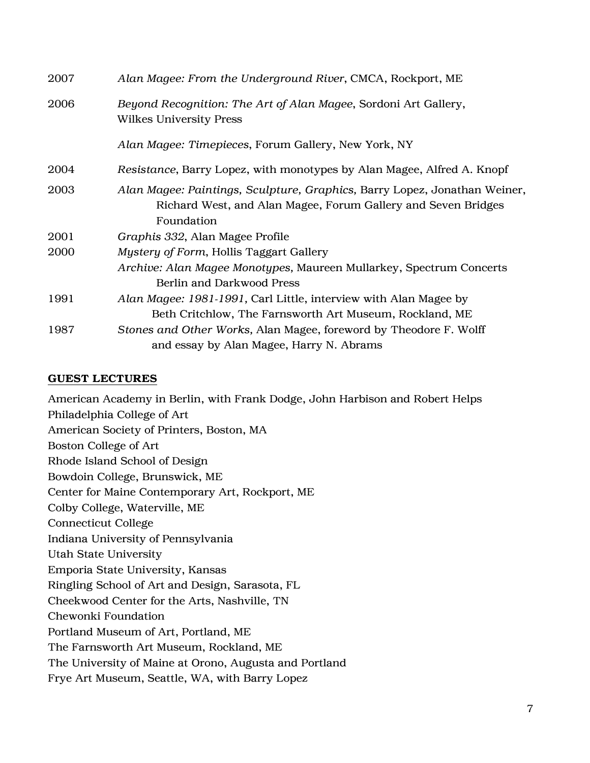| 2007 | Alan Magee: From the Underground River, CMCA, Rockport, ME                                                                                               |
|------|----------------------------------------------------------------------------------------------------------------------------------------------------------|
| 2006 | Beyond Recognition: The Art of Alan Magee, Sordoni Art Gallery,<br><b>Wilkes University Press</b>                                                        |
|      | Alan Magee: Timepieces, Forum Gallery, New York, NY                                                                                                      |
| 2004 | Resistance, Barry Lopez, with monotypes by Alan Magee, Alfred A. Knopf                                                                                   |
| 2003 | Alan Magee: Paintings, Sculpture, Graphics, Barry Lopez, Jonathan Weiner,<br>Richard West, and Alan Magee, Forum Gallery and Seven Bridges<br>Foundation |
| 2001 | Graphis 332, Alan Magee Profile                                                                                                                          |
| 2000 | Mystery of Form, Hollis Taggart Gallery                                                                                                                  |
|      | Archive: Alan Magee Monotypes, Maureen Mullarkey, Spectrum Concerts                                                                                      |
|      | <b>Berlin and Darkwood Press</b>                                                                                                                         |
| 1991 | Alan Magee: 1981-1991, Carl Little, interview with Alan Magee by                                                                                         |
|      | Beth Critchlow, The Farnsworth Art Museum, Rockland, ME                                                                                                  |
| 1987 | Stones and Other Works, Alan Magee, foreword by Theodore F. Wolff                                                                                        |
|      | and essay by Alan Magee, Harry N. Abrams                                                                                                                 |

### GUEST LECTURES

American Academy in Berlin, with Frank Dodge, John Harbison and Robert Helps Philadelphia College of Art American Society of Printers, Boston, MA Boston College of Art Rhode Island School of Design Bowdoin College, Brunswick, ME Center for Maine Contemporary Art, Rockport, ME Colby College, Waterville, ME Connecticut College Indiana University of Pennsylvania Utah State University Emporia State University, Kansas Ringling School of Art and Design, Sarasota, FL Cheekwood Center for the Arts, Nashville, TN Chewonki Foundation Portland Museum of Art, Portland, ME The Farnsworth Art Museum, Rockland, ME The University of Maine at Orono, Augusta and Portland Frye Art Museum, Seattle, WA, with Barry Lopez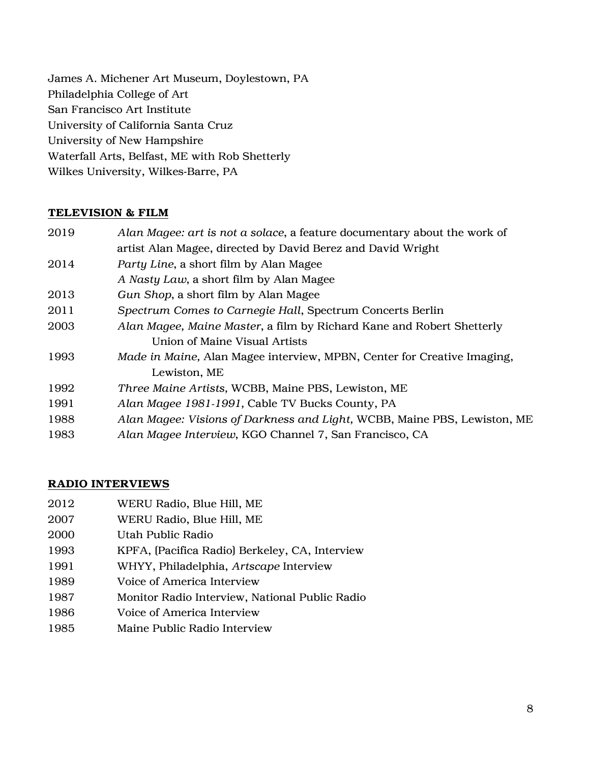James A. Michener Art Museum, Doylestown, PA Philadelphia College of Art San Francisco Art Institute University of California Santa Cruz University of New Hampshire Waterfall Arts, Belfast, ME with Rob Shetterly Wilkes University, Wilkes-Barre, PA

#### TELEVISION & FILM

| 2019 | Alan Magee: art is not a solace, a feature documentary about the work of |
|------|--------------------------------------------------------------------------|
|      | artist Alan Magee, directed by David Berez and David Wright              |
| 2014 | <i>Party Line, a short film by Alan Magee</i>                            |
|      | A Nasty Law, a short film by Alan Magee                                  |
| 2013 | Gun Shop, a short film by Alan Magee                                     |
| 2011 | Spectrum Comes to Carnegie Hall, Spectrum Concerts Berlin                |
| 2003 | Alan Magee, Maine Master, a film by Richard Kane and Robert Shetterly    |
|      | Union of Maine Visual Artists                                            |
| 1993 | Made in Maine, Alan Magee interview, MPBN, Center for Creative Imaging,  |
|      | Lewiston, ME                                                             |
| 1992 | Three Maine Artists, WCBB, Maine PBS, Lewiston, ME                       |
| 1991 | Alan Magee 1981-1991, Cable TV Bucks County, PA                          |
| 1988 | Alan Magee: Visions of Darkness and Light, WCBB, Maine PBS, Lewiston, ME |
| 1983 | Alan Magee Interview, KGO Channel 7, San Francisco, CA                   |
|      |                                                                          |

## RADIO INTERVIEWS

- 2012 WERU Radio, Blue Hill, ME
- 2007 WERU Radio, Blue Hill, ME
- 2000 Utah Public Radio
- 1993 KPFA, (Pacifica Radio) Berkeley, CA, Interview
- 1991 WHYY, Philadelphia, *Artscape* Interview
- 1989 Voice of America Interview
- 1987 Monitor Radio Interview, National Public Radio
- 1986 Voice of America Interview
- 1985 Maine Public Radio Interview